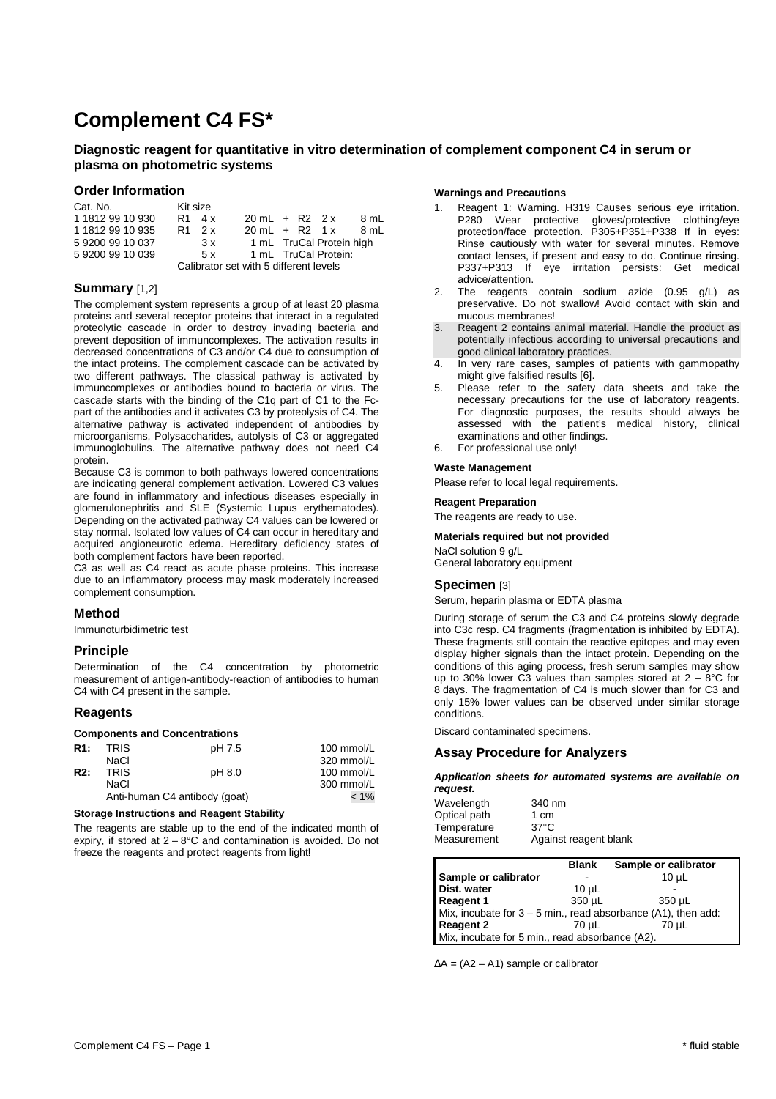# **Complement C4 FS\***

# **Diagnostic reagent for quantitative in vitro determination of complement component C4 in serum or plasma on photometric systems**

## **Order Information**

| Cat. No.                               | Kit size |        |                          |  |                          |      |
|----------------------------------------|----------|--------|--------------------------|--|--------------------------|------|
| 1 1812 99 10 930                       |          | R1 4 x | $20 \text{ mL} + R2$ 2 x |  |                          | 8 mL |
| 1 1812 99 10 935                       |          | R1 2 x | $20 \text{ mL} + R2 1x$  |  |                          | 8 mL |
| 592009910037                           |          | 3x     |                          |  | 1 mL TruCal Protein high |      |
| 592009910039                           |          | 5x     |                          |  | 1 mL TruCal Protein:     |      |
| Calibrator set with 5 different levels |          |        |                          |  |                          |      |

# **Summary** [1,2]

The complement system represents a group of at least 20 plasma proteins and several receptor proteins that interact in a regulated proteolytic cascade in order to destroy invading bacteria and prevent deposition of immuncomplexes. The activation results in decreased concentrations of C3 and/or C4 due to consumption of the intact proteins. The complement cascade can be activated by two different pathways. The classical pathway is activated by immuncomplexes or antibodies bound to bacteria or virus. The cascade starts with the binding of the C1q part of C1 to the Fcpart of the antibodies and it activates C3 by proteolysis of C4. The alternative pathway is activated independent of antibodies by microorganisms, Polysaccharides, autolysis of C3 or aggregated immunoglobulins. The alternative pathway does not need C4 protein.

Because C3 is common to both pathways lowered concentrations are indicating general complement activation. Lowered C3 values are found in inflammatory and infectious diseases especially in glomerulonephritis and SLE (Systemic Lupus erythematodes). Depending on the activated pathway C4 values can be lowered or stay normal. Isolated low values of C4 can occur in hereditary and acquired angioneurotic edema. Hereditary deficiency states of both complement factors have been reported.

C3 as well as C4 react as acute phase proteins. This increase due to an inflammatory process may mask moderately increased complement consumption.

## **Method**

Immunoturbidimetric test

# **Principle**

Determination of the C4 concentration by photometric measurement of antigen-antibody-reaction of antibodies to human C4 with C4 present in the sample.

## **Reagents**

#### **Components and Concentrations**

| <b>R1:</b>       | <b>TRIS</b> | pH 7.5                        | 100 mmol/L |
|------------------|-------------|-------------------------------|------------|
|                  | NaCl        |                               | 320 mmol/L |
| R <sub>2</sub> : | <b>TRIS</b> | pH 8.0                        | 100 mmol/L |
|                  | NaCl        |                               | 300 mmol/L |
|                  |             | Anti-human C4 antibody (goat) | $< 1\%$    |
|                  |             |                               |            |

#### **Storage Instructions and Reagent Stability**

The reagents are stable up to the end of the indicated month of expiry, if stored at  $2 - 8^{\circ}$ C and contamination is avoided. Do not freeze the reagents and protect reagents from light!

## **Warnings and Precautions**

- 1. Reagent 1: Warning. H319 Causes serious eye irritation. P280 Wear protective gloves/protective clothing/eye protection/face protection. P305+P351+P338 If in eyes: Rinse cautiously with water for several minutes. Remove contact lenses, if present and easy to do. Continue rinsing. P337+P313 If eye irritation persists: Get medical advice/attention.
- 2. The reagents contain sodium azide (0.95 g/L) as preservative. Do not swallow! Avoid contact with skin and mucous membranes!
- 3. Reagent 2 contains animal material. Handle the product as potentially infectious according to universal precautions and good clinical laboratory practices.
- 4. In very rare cases, samples of patients with gammopathy might give falsified results [6].
- 5. Please refer to the safety data sheets and take the necessary precautions for the use of laboratory reagents. For diagnostic purposes, the results should always be assessed with the patient's medical history, clinical examinations and other findings.
- 6. For professional use only!

## **Waste Management**

Please refer to local legal requirements.

#### **Reagent Preparation**

The reagents are ready to use.

#### **Materials required but not provided**

NaCl solution 9 g/L General laboratory equipment

# **Specimen** [3]

Serum, heparin plasma or EDTA plasma

During storage of serum the C3 and C4 proteins slowly degrade into C3c resp. C4 fragments (fragmentation is inhibited by EDTA). These fragments still contain the reactive epitopes and may even display higher signals than the intact protein. Depending on the conditions of this aging process, fresh serum samples may show up to 30% lower C3 values than samples stored at  $2 - 8$ °C for 8 days. The fragmentation of C4 is much slower than for C3 and only 15% lower values can be observed under similar storage conditions.

Discard contaminated specimens.

## **Assay Procedure for Analyzers**

**Application sheets for automated systems are available on request.** 

| Wavelength   | 340 nm                |
|--------------|-----------------------|
| Optical path | 1 cm                  |
| Temperature  | $37^{\circ}$ C        |
| Measurement  | Against reagent blank |

|                                                                 | <b>Blank</b> | Sample or calibrator |  |  |
|-----------------------------------------------------------------|--------------|----------------------|--|--|
| Sample or calibrator                                            |              | $10u$ L              |  |  |
| Dist. water                                                     | $10 \mu L$   |                      |  |  |
| Reagent 1                                                       | 350 µL       | 350 uL               |  |  |
| Mix, incubate for $3 - 5$ min., read absorbance (A1), then add: |              |                      |  |  |
| Reagent 2                                                       | 70 uL        | 70 uL                |  |  |
| Mix, incubate for 5 min., read absorbance (A2).                 |              |                      |  |  |

∆A = (A2 – A1) sample or calibrator